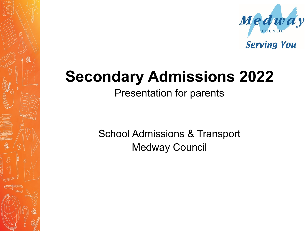

**Serving You** 

## **Secondary Admissions 2022**

Presentation for parents

School Admissions & Transport Medway Council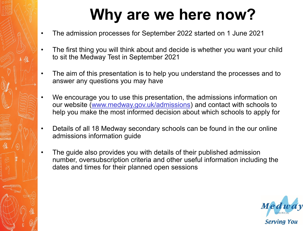# **Why are we here now?**

- The admission processes for September 2022 started on 1 June 2021
- The first thing you will think about and decide is whether you want your child to sit the Medway Test in September 2021
- The aim of this presentation is to help you understand the processes and to answer any questions you may have
- We encourage you to use this presentation, the admissions information on our website (www.medway.gov.uk/admissions) and contact with schools to help you make the most informed decision about which schools to apply for
- Details of all 18 Medway secondary schools can be found in the our online admissions information guide
- The guide also provides you with details of their published admission number, oversubscription criteria and other useful information including the dates and times for their planned open sessions

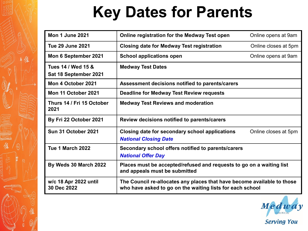# **Key Dates for Parents**

| <b>Mon 1 June 2021</b>                      | Online registration for the Medway Test open                                                                                         | Online opens at 9am  |
|---------------------------------------------|--------------------------------------------------------------------------------------------------------------------------------------|----------------------|
| <b>Tue 29 June 2021</b>                     | <b>Closing date for Medway Test registration</b>                                                                                     | Online closes at 5pm |
| Mon 6 September 2021                        | <b>School applications open</b>                                                                                                      | Online opens at 9am  |
| Tues 14 / Wed 15 &<br>Sat 18 September 2021 | <b>Medway Test Dates</b>                                                                                                             |                      |
| Mon 4 October 2021                          | Assessment decisions notified to parents/carers                                                                                      |                      |
| Mon 11 October 2021                         | <b>Deadline for Medway Test Review requests</b>                                                                                      |                      |
| Thurs 14 / Fri 15 October<br>2021           | <b>Medway Test Reviews and moderation</b>                                                                                            |                      |
| By Fri 22 October 2021                      | Review decisions notified to parents/carers                                                                                          |                      |
| Sun 31 October 2021                         | Closing date for secondary school applications<br><b>National Closing Date</b>                                                       | Online closes at 5pm |
| Tue 1 March 2022                            | Secondary school offers notified to parents/carers<br><b>National Offer Day</b>                                                      |                      |
| By Weds 30 March 2022                       | Places must be accepted/refused and requests to go on a waiting list<br>and appeals must be submitted                                |                      |
| w/c 18 Apr 2022 until<br>30 Dec 2022        | The Council re-allocates any places that have become available to those<br>who have asked to go on the waiting lists for each school |                      |

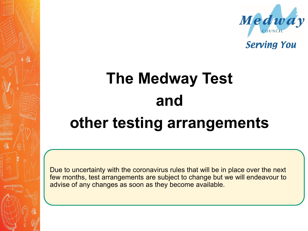



# **The Medway Test and other testing arrangements**

Due to uncertainty with the coronavirus rules that will be in place over the next few months, test arrangements are subject to change but we will endeavour to advise of any changes as soon as they become available.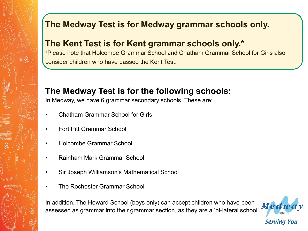#### **The Medway Test is for Medway grammar schools only.**

#### **The Kent Test is for Kent grammar schools only.\***

\*Please note that Holcombe Grammar School and Chatham Grammar School for Girls also consider children who have passed the Kent Test.

#### **The Medway Test is for the following schools:**

In Medway, we have 6 grammar secondary schools. These are:

- Chatham Grammar School for Girls
- Fort Pitt Grammar School
- Holcombe Grammar School
- Rainham Mark Grammar School
- Sir Joseph Williamson's Mathematical School
- The Rochester Grammar School

In addition, The Howard School (boys only) can accept children who have been In audition, The noward Scribol (boys only) can accept children who have been  $M$ ed  $\bar d$ 

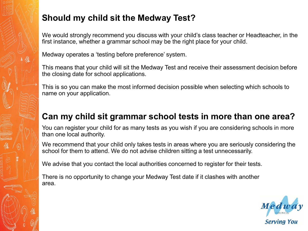#### **Should my child sit the Medway Test?**

We would strongly recommend you discuss with your child's class teacher or Headteacher, in the first instance, whether a grammar school may be the right place for your child.

Medway operates a 'testing before preference' system.

This means that your child will sit the Medway Test and receive their assessment decision before the closing date for school applications.

This is so you can make the most informed decision possible when selecting which schools to name on your application.

#### **Can my child sit grammar school tests in more than one area?**

You can register your child for as many tests as you wish if you are considering schools in more than one local authority.

We recommend that your child only takes tests in areas where you are seriously considering the school for them to attend. We do not advise children sitting a test unnecessarily.

We advise that you contact the local authorities concerned to register for their tests.

There is no opportunity to change your Medway Test date if it clashes with another area.

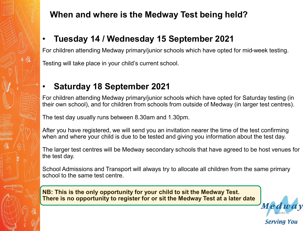#### **When and where is the Medway Test being held?**

#### • **Tuesday 14 / Wednesday 15 September 2021**

For children attending Medway primary/junior schools which have opted for mid-week testing. Testing will take place in your child's current school.

#### • **Saturday 18 September 2021**

For children attending Medway primary/junior schools which have opted for Saturday testing (in their own school), and for children from schools from outside of Medway (in larger test centres).

The test day usually runs between 8.30am and 1.30pm.

After you have registered, we will send you an invitation nearer the time of the test confirming when and where your child is due to be tested and giving you information about the test day.

The larger test centres will be Medway secondary schools that have agreed to be host venues for the test day.

School Admissions and Transport will always try to allocate all children from the same primary school to the same test centre.

**NB: This is the only opportunity for your child to sit the Medway Test. There is no opportunity to register for or sit the Medway Test at a later date**

Med

Serving You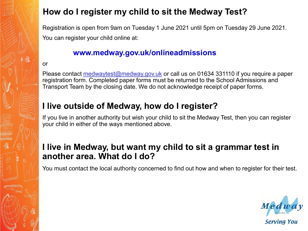#### **How do I register my child to sit the Medway Test?**

Registration is open from 9am on Tuesday 1 June 2021 until 5pm on Tuesday 29 June 2021. You can register your child online at:

#### **www.medway.gov.uk/onlineadmissions**

#### or

Please contact [medwaytest@medway.gov.uk](mailto:medwaytest@medway.gov.uk) or call us on 01634 331110 if you require a paper registration form. Completed paper forms must be returned to the School Admissions and Transport Team by the closing date. We do not acknowledge receipt of paper forms.

#### **I live outside of Medway, how do I register?**

If you live in another authority but wish your child to sit the Medway Test, then you can register your child in either of the ways mentioned above.

#### **I live in Medway, but want my child to sit a grammar test in another area. What do I do?**

You must contact the local authority concerned to find out how and when to register for their test.

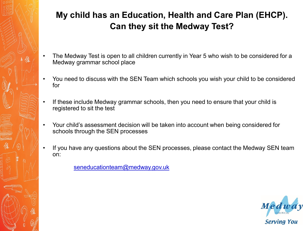#### **My child has an Education, Health and Care Plan (EHCP). Can they sit the Medway Test?**

- The Medway Test is open to all children currently in Year 5 who wish to be considered for a Medway grammar school place
- You need to discuss with the SEN Team which schools you wish your child to be considered for
- If these include Medway grammar schools, then you need to ensure that your child is registered to sit the test
- Your child's assessment decision will be taken into account when being considered for schools through the SEN processes
- If you have any questions about the SEN processes, please contact the Medway SEN team on:

seneducationteam@medway.gov.uk

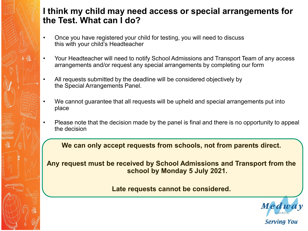#### **I think my child may need access or special arrangements for the Test. What can I do?**

- Once you have registered your child for testing, you will need to discuss this with your child's Headteacher
- Your Headteacher will need to notify School Admissions and Transport Team of any access arrangements and/or request any special arrangements by completing our form
- All requests submitted by the deadline will be considered objectively by the Special Arrangements Panel.
- We cannot guarantee that all requests will be upheld and special arrangements put into place
- Please note that the decision made by the panel is final and there is no opportunity to appeal the decision

**We can only accept requests from schools, not from parents direct.**

**Any request must be received by School Admissions and Transport from the school by Monday 5 July 2021.** 

**Late requests cannot be considered.**



**Serving You**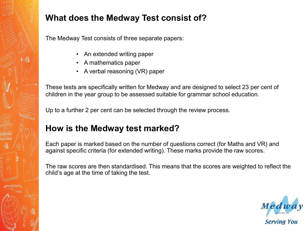

#### **What does the Medway Test consist of?**

The Medway Test consists of three separate papers:

- An extended writing paper
- A mathematics paper
- A verbal reasoning (VR) paper

These tests are specifically written for Medway and are designed to select 23 per cent of children in the year group to be assessed suitable for grammar school education.

Up to a further 2 per cent can be selected through the review process.

#### **How is the Medway test marked?**

Each paper is marked based on the number of questions correct (for Maths and VR) and against specific criteria (for extended writing). These marks provide the raw scores.

The raw scores are then standardised. This means that the scores are weighted to reflect the child's age at the time of taking the test.

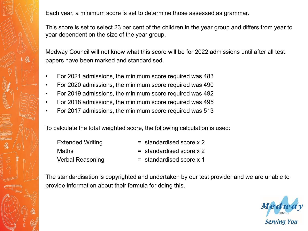Each year, a minimum score is set to determine those assessed as grammar.

This score is set to select 23 per cent of the children in the year group and differs from year to year dependent on the size of the year group.

Medway Council will not know what this score will be for 2022 admissions until after all test papers have been marked and standardised.

- For 2021 admissions, the minimum score required was 483
- For 2020 admissions, the minimum score required was 490
- For 2019 admissions, the minimum score required was 492
- For 2018 admissions, the minimum score required was 495
- For 2017 admissions, the minimum score required was 513

To calculate the total weighted score, the following calculation is used:

| <b>Extended Writing</b> | $=$ standardised score $\times$ 2 |
|-------------------------|-----------------------------------|
| Maths                   | $=$ standardised score $\times$ 2 |
| <b>Verbal Reasoning</b> | $=$ standardised score x 1        |

The standardisation is copyrighted and undertaken by our test provider and we are unable to provide information about their formula for doing this.

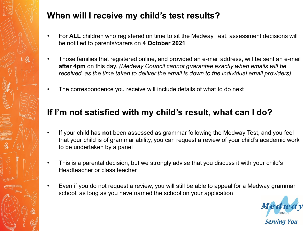

#### **When will I receive my child's test results?**

- For **ALL** children who registered on time to sit the Medway Test, assessment decisions will be notified to parents/carers on **4 October 2021**
- Those families that registered online, and provided an e-mail address, will be sent an e-mail **after 4pm** on this day. *(Medway Council cannot guarantee exactly when emails will be received, as the time taken to deliver the email is down to the individual email providers)*
- The correspondence you receive will include details of what to do next

#### **If I'm not satisfied with my child's result, what can I do?**

- If your child has **not** been assessed as grammar following the Medway Test, and you feel that your child is of grammar ability, you can request a review of your child's academic work to be undertaken by a panel
- This is a parental decision, but we strongly advise that you discuss it with your child's Headteacher or class teacher
- Even if you do not request a review, you will still be able to appeal for a Medway grammar school, as long as you have named the school on your application

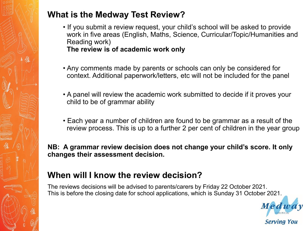

#### **What is the Medway Test Review?**

- If you submit a review request, your child's school will be asked to provide work in five areas (English, Maths, Science, Curricular/Topic/Humanities and Reading work) **The review is of academic work only**
- Any comments made by parents or schools can only be considered for context. Additional paperwork/letters, etc will not be included for the panel
- A panel will review the academic work submitted to decide if it proves your child to be of grammar ability
- Each year a number of children are found to be grammar as a result of the review process. This is up to a further 2 per cent of children in the year group

**NB: A grammar review decision does not change your child's score. It only changes their assessment decision.** 

#### **When will I know the review decision?**

The reviews decisions will be advised to parents/carers by Friday 22 October 2021. This is before the closing date for school applications, which is Sunday 31 October 2021.

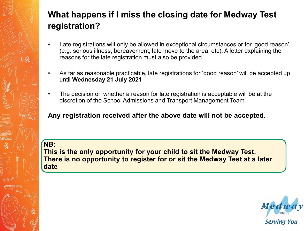#### **What happens if I miss the closing date for Medway Test registration?**

- Late registrations will only be allowed in exceptional circumstances or for 'good reason' (e.g. serious illness, bereavement, late move to the area, etc). A letter explaining the reasons for the late registration must also be provided
- As far as reasonable practicable, late registrations for 'good reason' will be accepted up until **Wednesday 21 July 2021**
- The decision on whether a reason for late registration is acceptable will be at the discretion of the School Admissions and Transport Management Team

**Any registration received after the above date will not be accepted.**

**NB: This is the only opportunity for your child to sit the Medway Test. There is no opportunity to register for or sit the Medway Test at a later date**

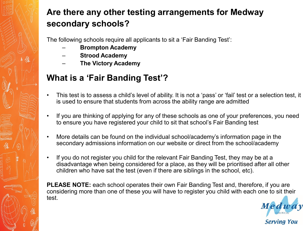#### **Are there any other testing arrangements for Medway secondary schools?**

The following schools require all applicants to sit a 'Fair Banding Test':

- **Brompton Academy**
- **Strood Academy**
- **The Victory Academy**

#### **What is a 'Fair Banding Test'?**

- This test is to assess a child's level of ability. It is not a 'pass' or 'fail' test or a selection test, it is used to ensure that students from across the ability range are admitted
- If you are thinking of applying for any of these schools as one of your preferences, you need to ensure you have registered your child to sit that school's Fair Banding test
- More details can be found on the individual school/academy's information page in the secondary admissions information on our website or direct from the school/academy
- If you do not register you child for the relevant Fair Banding Test, they may be at a disadvantage when being considered for a place, as they will be prioritised after all other children who have sat the test (even if there are siblings in the school, etc).

**PLEASE NOTE:** each school operates their own Fair Banding Test and, therefore, if you are considering more than one of these you will have to register you child with each one to sit their test.

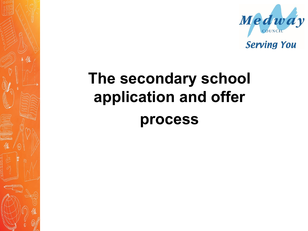

**Serving You** 

# **The secondary school application and offer process**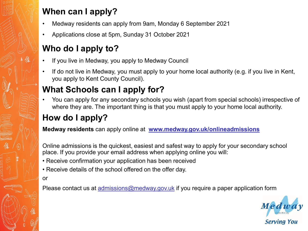#### **When can I apply?**

- Medway residents can apply from 9am, Monday 6 September 2021
- Applications close at 5pm, Sunday 31 October 2021

#### **Who do I apply to?**

- If you live in Medway, you apply to Medway Council
- If do not live in Medway, you must apply to your home local authority (e.g. if you live in Kent, you apply to Kent County Council).

#### **What Schools can I apply for?**

• You can apply for any secondary schools you wish (apart from special schools) irrespective of where they are. The important thing is that you must apply to your home local authority.

### **How do I apply?**

**Medway residents** can apply online at **[www.medway.gov.uk/onlineadmissions](http://www.medway.gov.uk/onlineadmissions)**

Online admissions is the quickest, easiest and safest way to apply for your secondary school place. If you provide your email address when applying online you will:

- Receive confirmation your application has been received
- Receive details of the school offered on the offer day.
- or

Please contact us at [admissions@medway.gov.uk](mailto:admissions@medway.gov.uk) if you require a paper application form

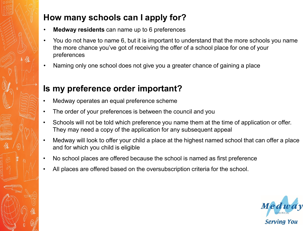#### **How many schools can I apply for?**

- **Medway residents** can name up to 6 preferences
- You do not have to name 6, but it is important to understand that the more schools you name the more chance you've got of receiving the offer of a school place for one of your preferences
- Naming only one school does not give you a greater chance of gaining a place

#### **Is my preference order important?**

- Medway operates an equal preference scheme
- The order of your preferences is between the council and you
- Schools will not be told which preference you name them at the time of application or offer. They may need a copy of the application for any subsequent appeal
- Medway will look to offer your child a place at the highest named school that can offer a place and for which you child is eligible
- No school places are offered because the school is named as first preference
- All places are offered based on the oversubscription criteria for the school.

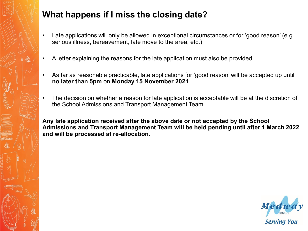

#### **What happens if I miss the closing date?**

- Late applications will only be allowed in exceptional circumstances or for 'good reason' (e.g. serious illness, bereavement, late move to the area, etc.)
- A letter explaining the reasons for the late application must also be provided
- As far as reasonable practicable, late applications for 'good reason' will be accepted up until **no later than 5pm** on **Monday 15 November 2021**
- The decision on whether a reason for late application is acceptable will be at the discretion of the School Admissions and Transport Management Team.

**Any late application received after the above date or not accepted by the School Admissions and Transport Management Team will be held pending until after 1 March 2022 and will be processed at re-allocation.**

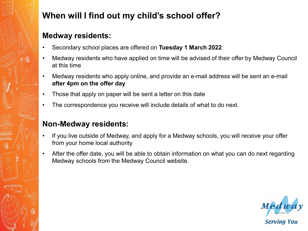#### **When will I find out my child's school offer?**

#### **Medway residents:**

- Secondary school places are offered on **Tuesday 1 March 2022**
- Medway residents who have applied on time will be advised of their offer by Medway Council at this time
- Medway residents who apply online, and provide an e-mail address will be sent an e-mail **after 4pm on the offer day**
- Those that apply on paper will be sent a letter on this date
- The correspondence you receive will include details of what to do next.

#### **Non-Medway residents:**

- If you live outside of Medway, and apply for a Medway schools, you will receive your offer from your home local authority
- After the offer date, you will be able to obtain information on what you can do next regarding Medway schools from the Medway Council website.

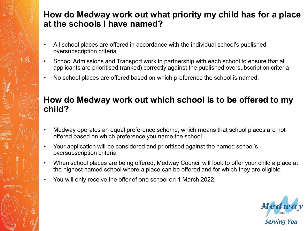#### **How do Medway work out what priority my child has for a place at the schools I have named?**

- All school places are offered in accordance with the individual school's published oversubscription criteria
- School Admissions and Transport work in partnership with each school to ensure that all applicants are prioritised (ranked) correctly against the published oversubscription criteria
- No school places are offered based on which preference the school is named.

#### **How do Medway work out which school is to be offered to my child?**

- Medway operates an equal preference scheme, which means that school places are not offered based on which preference you name the school
- Your application will be considered and prioritised against the named school's oversubscription criteria
- When school places are being offered, Medway Council will look to offer your child a place at the highest named school where a place can be offered and for which they are eligible
- You will only receive the offer of one school on 1 March 2022.

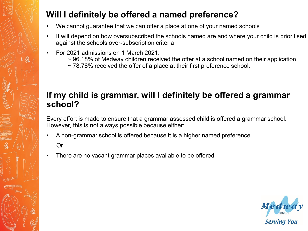#### **Will I definitely be offered a named preference?**

- We cannot guarantee that we can offer a place at one of your named schools
- It will depend on how oversubscribed the schools named are and where your child is prioritised against the schools over-subscription criteria
- For 2021 admissions on 1 March 2021:
	- $\sim$  96.18% of Medway children received the offer at a school named on their application
	- ~ 78.78% received the offer of a place at their first preference school.

#### **If my child is grammar, will I definitely be offered a grammar school?**

Every effort is made to ensure that a grammar assessed child is offered a grammar school. However, this is not always possible because either:

• A non-grammar school is offered because it is a higher named preference

Or

There are no vacant grammar places available to be offered

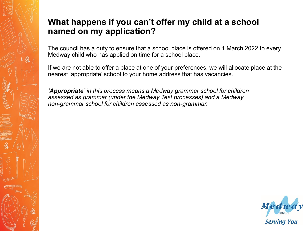#### **What happens if you can't offer my child at a school named on my application?**

The council has a duty to ensure that a school place is offered on 1 March 2022 to every Medway child who has applied on time for a school place.

If we are not able to offer a place at one of your preferences, we will allocate place at the nearest 'appropriate' school to your home address that has vacancies.

*'Appropriate' in this process means a Medway grammar school for children assessed as grammar (under the Medway Test processes) and a Medway non-grammar school for children assessed as non-grammar.*

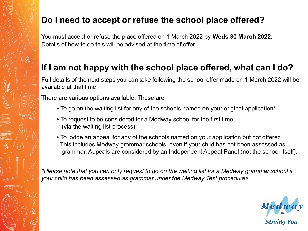#### **Do I need to accept or refuse the school place offered?**

You must accept or refuse the place offered on 1 March 2022 by **Weds 30 March 2022.** Details of how to do this will be advised at the time of offer.

#### **If I am not happy with the school place offered, what can I do?**

Full details of the next steps you can take following the school offer made on 1 March 2022 will be available at that time.

There are various options available. These are:

- To go on the waiting list for any of the schools named on your original application\*
- To request to be considered for a Medway school for the first time (via the waiting list process)
- To lodge an appeal for any of the schools named on your application but not offered. This includes Medway grammar schools, even if your child has not been assessed as grammar. Appeals are considered by an Independent Appeal Panel (not the school itself).

*\*Please note that you can only request to go on the waiting list for a Medway grammar school if your child has been assessed as grammar under the Medway Test procedures.*